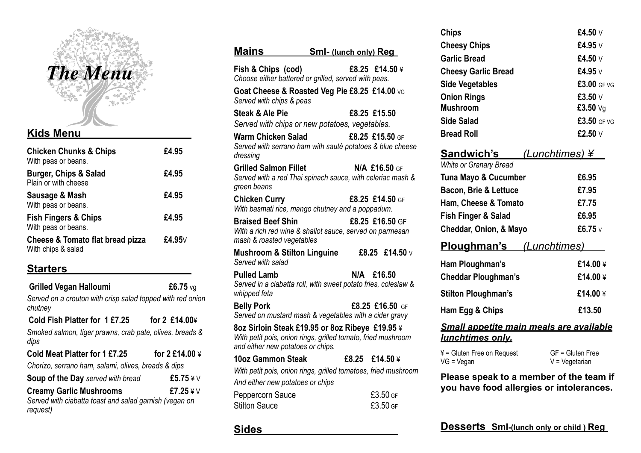

#### **Kids Menu**

| <b>Chicken Chunks &amp; Chips</b><br>With peas or beans. | £4.95        |
|----------------------------------------------------------|--------------|
| <b>Burger, Chips &amp; Salad</b><br>Plain or with cheese | £4.95        |
| Sausage & Mash<br>With peas or beans.                    | £4.95        |
| <b>Fish Fingers &amp; Chips</b><br>With peas or beans.   | £4.95        |
| Cheese & Tomato flat bread pizza<br>With chips & salad   | £4.95 $\vee$ |

### **Starters**

 **Grilled Vegan Halloumi £6.75** vg *Served on a crouton with crisp salad topped with red onion chutney* **Cold Fish Platter for 1 £7.25 for 2 £14.00**¥

*Smoked salmon, tiger prawns, crab pate, olives, breads & dips*

| Cold Meat Platter for 1 £7.25                          | for 2 £14.00 ¥ |
|--------------------------------------------------------|----------------|
| Chorizo, serrano ham, salami, olives, breads & dips    |                |
| <b>Soup of the Day served with bread</b>               | £5.75¥V        |
| <b>Creamy Garlic Mushrooms</b>                         | £7.25 $4V$     |
| Served with ciabatta toast and salad garnish (vegan on |                |
| request)                                               |                |

| Fish & Chips (cod)<br>£8.25 £14.50 ¥<br>Choose either battered or grilled, served with peas.<br>Goat Cheese & Roasted Veg Pie £8.25 £14.00 vg<br>Served with chips & peas<br><b>Steak &amp; Ale Pie</b><br>£8.25 £15.50<br>Served with chips or new potatoes, vegetables.<br><b>Warm Chicken Salad</b><br>£8.25 £15.50 GF<br>Served with serrano ham with sauté potatoes & blue cheese<br>dressing<br><b>Grilled Salmon Fillet</b><br>N/A £16.50 GF<br>Served with a red Thai spinach sauce, with celeriac mash &<br>green beans<br><b>Chicken Curry</b><br>£8.25 £14.50 GF<br>With basmati rice, mango chutney and a poppadum.<br><b>Braised Beef Shin</b><br>£8.25 £16.50 GF<br>With a rich red wine & shallot sauce, served on parmesan<br>mash & roasted vegetables<br><b>Mushroom &amp; Stilton Linguine</b><br>£8.25 £14.50 $v$<br>Served with salad<br><b>Pulled Lamb</b><br>N/A £16.50<br>Served in a ciabatta roll, with sweet potato fries, coleslaw &<br>whipped feta<br>£8.25 £16.50 GF<br><b>Belly Pork</b><br>Served on mustard mash & vegetables with a cider gravy<br>8oz Sirloin Steak £19.95 or 8oz Ribeye £19.95 ¥<br>With petit pois, onion rings, grilled tomato, fried mushroom<br>and either new potatoes or chips.<br>10oz Gammon Steak<br>f8.25 f14.50 f<br>With petit pois, onion rings, grilled tomatoes, fried mushroom<br>And either new potatoes or chips<br>Peppercorn Sauce<br>£3.50 GF<br>£3.50 GF<br><b>Stilton Sauce</b> | Mains | <b>Sml-</b> (lunch only) Reg |
|-------------------------------------------------------------------------------------------------------------------------------------------------------------------------------------------------------------------------------------------------------------------------------------------------------------------------------------------------------------------------------------------------------------------------------------------------------------------------------------------------------------------------------------------------------------------------------------------------------------------------------------------------------------------------------------------------------------------------------------------------------------------------------------------------------------------------------------------------------------------------------------------------------------------------------------------------------------------------------------------------------------------------------------------------------------------------------------------------------------------------------------------------------------------------------------------------------------------------------------------------------------------------------------------------------------------------------------------------------------------------------------------------------------------------------------------------------------|-------|------------------------------|
|                                                                                                                                                                                                                                                                                                                                                                                                                                                                                                                                                                                                                                                                                                                                                                                                                                                                                                                                                                                                                                                                                                                                                                                                                                                                                                                                                                                                                                                             |       |                              |
|                                                                                                                                                                                                                                                                                                                                                                                                                                                                                                                                                                                                                                                                                                                                                                                                                                                                                                                                                                                                                                                                                                                                                                                                                                                                                                                                                                                                                                                             |       |                              |
|                                                                                                                                                                                                                                                                                                                                                                                                                                                                                                                                                                                                                                                                                                                                                                                                                                                                                                                                                                                                                                                                                                                                                                                                                                                                                                                                                                                                                                                             |       |                              |
|                                                                                                                                                                                                                                                                                                                                                                                                                                                                                                                                                                                                                                                                                                                                                                                                                                                                                                                                                                                                                                                                                                                                                                                                                                                                                                                                                                                                                                                             |       |                              |
|                                                                                                                                                                                                                                                                                                                                                                                                                                                                                                                                                                                                                                                                                                                                                                                                                                                                                                                                                                                                                                                                                                                                                                                                                                                                                                                                                                                                                                                             |       |                              |
|                                                                                                                                                                                                                                                                                                                                                                                                                                                                                                                                                                                                                                                                                                                                                                                                                                                                                                                                                                                                                                                                                                                                                                                                                                                                                                                                                                                                                                                             |       |                              |
|                                                                                                                                                                                                                                                                                                                                                                                                                                                                                                                                                                                                                                                                                                                                                                                                                                                                                                                                                                                                                                                                                                                                                                                                                                                                                                                                                                                                                                                             |       |                              |
|                                                                                                                                                                                                                                                                                                                                                                                                                                                                                                                                                                                                                                                                                                                                                                                                                                                                                                                                                                                                                                                                                                                                                                                                                                                                                                                                                                                                                                                             |       |                              |
|                                                                                                                                                                                                                                                                                                                                                                                                                                                                                                                                                                                                                                                                                                                                                                                                                                                                                                                                                                                                                                                                                                                                                                                                                                                                                                                                                                                                                                                             |       |                              |
|                                                                                                                                                                                                                                                                                                                                                                                                                                                                                                                                                                                                                                                                                                                                                                                                                                                                                                                                                                                                                                                                                                                                                                                                                                                                                                                                                                                                                                                             |       |                              |
|                                                                                                                                                                                                                                                                                                                                                                                                                                                                                                                                                                                                                                                                                                                                                                                                                                                                                                                                                                                                                                                                                                                                                                                                                                                                                                                                                                                                                                                             |       |                              |
|                                                                                                                                                                                                                                                                                                                                                                                                                                                                                                                                                                                                                                                                                                                                                                                                                                                                                                                                                                                                                                                                                                                                                                                                                                                                                                                                                                                                                                                             |       |                              |
|                                                                                                                                                                                                                                                                                                                                                                                                                                                                                                                                                                                                                                                                                                                                                                                                                                                                                                                                                                                                                                                                                                                                                                                                                                                                                                                                                                                                                                                             |       |                              |
|                                                                                                                                                                                                                                                                                                                                                                                                                                                                                                                                                                                                                                                                                                                                                                                                                                                                                                                                                                                                                                                                                                                                                                                                                                                                                                                                                                                                                                                             |       |                              |

**Sides**

| <b>Chips</b>                                                              | £4.50 $\vee$                          |  |
|---------------------------------------------------------------------------|---------------------------------------|--|
| <b>Cheesy Chips</b>                                                       | £4.95 V                               |  |
| <b>Garlic Bread</b>                                                       | £4.50 V                               |  |
| <b>Cheesy Garlic Bread</b>                                                | £4.95 $\vee$                          |  |
| <b>Side Vegetables</b>                                                    | £3.00 GF VG                           |  |
| <b>Onion Rings</b>                                                        | £3.50 V                               |  |
| <b>Mushroom</b>                                                           | £3.50 $Vg$                            |  |
| <b>Side Salad</b>                                                         | £3.50 GF VG                           |  |
| <b>Bread Roll</b>                                                         | £2.50 V                               |  |
| Sandwich's<br><b>White or Granary Bread</b>                               | <u>(Lunchtimes) ¥</u>                 |  |
| <b>Tuna Mayo &amp; Cucumber</b>                                           | £6.95                                 |  |
| <b>Bacon, Brie &amp; Lettuce</b>                                          | £7.95                                 |  |
| Ham, Cheese & Tomato                                                      | £7.75                                 |  |
| Fish Finger & Salad                                                       | £6.95                                 |  |
| Cheddar, Onion, & Mayo                                                    | £6.75 $v$                             |  |
| <u>Ploughman's (Lunchtimes)</u>                                           |                                       |  |
| Ham Ploughman's                                                           | £14.00¥                               |  |
| <b>Cheddar Ploughman's</b>                                                | £14.00¥                               |  |
| <b>Stilton Ploughman's</b>                                                | £14.00¥                               |  |
| Ham Egg & Chips                                                           | £13.50                                |  |
| <b>Small appetite main meals are available</b><br><u>lunchtimes only.</u> |                                       |  |
| $4 =$ Gluten Free on Request<br>$VG = Vegan$                              | GF = Gluten Free<br>$V = V$ egetarian |  |

**Please speak to a member of the team if you have food allergies or intolerances.**